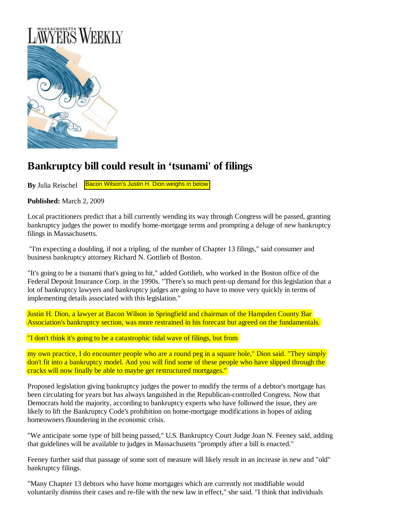

## **Bankruptcy bill could result in 'tsunami' of filings**

**By** Julia Reischel Bacon Wilson's [Justin H. Dion](http://www.baconwilson.com/attorney_directory_detail.epl?attorney_id=32) weighs in below

**Published:** March 2, 2009

Local practitioners predict that a bill currently wending its way through Congress will be passed, granting bankruptcy judges the power to modify home-mortgage terms and prompting a deluge of new bankruptcy filings in Massachusetts.

 "I'm expecting a doubling, if not a tripling, of the number of Chapter 13 filings," said consumer and business bankruptcy attorney Richard N. Gottlieb of Boston.

"It's going to be a tsunami that's going to hit," added Gottlieb, who worked in the Boston office of the Federal Deposit Insurance Corp. in the 1990s. "There's so much pent-up demand for this legislation that a lot of bankruptcy lawyers and bankruptcy judges are going to have to move very quickly in terms of implementing details associated with this legislation."

[Justin H. Dion,](http://www.baconwilson.com/attorney_directory_detail.epl?attorney_id=32) a lawyer at Bacon Wilson in Springfield and chairman of the Hampden County Bar Association's bankruptcy section, was more restrained in his forecast but agreed on the fundamentals.

"I don't think it's going to be a catastrophic tidal wave of filings, but from

my own practice, I do encounter people who are a round peg in a square hole," Dion said. "They simply don't fit into a bankruptcy model. And you will find some of these people who have slipped through the cracks will now finally be able to maybe get restructured mortgages."

Proposed legislation giving bankruptcy judges the power to modify the terms of a debtor's mortgage has been circulating for years but has always languished in the Republican-controlled Congress. Now that Democrats hold the majority, according to bankruptcy experts who have followed the issue, they are likely to lift the Bankruptcy Code's prohibition on home-mortgage modifications in hopes of aiding homeowners floundering in the economic crisis.

"We anticipate some type of bill being passed," U.S. Bankruptcy Court Judge Joan N. Feeney said, adding that guidelines will be available to judges in Massachusetts "promptly after a bill is enacted."

Feeney further said that passage of some sort of measure will likely result in an increase in new and "old" bankruptcy filings.

"Many Chapter 13 debtors who have home mortgages which are currently not modifiable would voluntarily dismiss their cases and re-file with the new law in effect," she said. "I think that individuals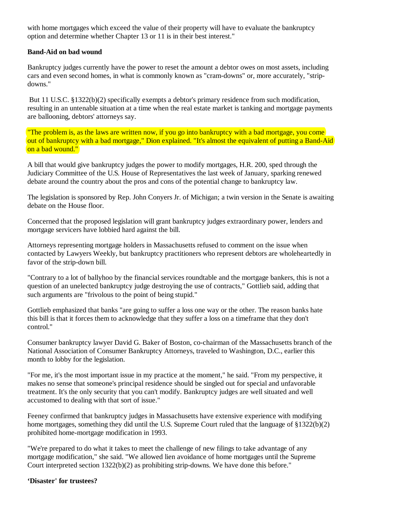with home mortgages which exceed the value of their property will have to evaluate the bankruptcy option and determine whether Chapter 13 or 11 is in their best interest."

## **Band-Aid on bad wound**

Bankruptcy judges currently have the power to reset the amount a debtor owes on most assets, including cars and even second homes, in what is commonly known as "cram-downs" or, more accurately, "stripdowns."

 But 11 U.S.C. §1322(b)(2) specifically exempts a debtor's primary residence from such modification, resulting in an untenable situation at a time when the real estate market is tanking and mortgage payments are ballooning, debtors' attorneys say.

The problem is, as the laws are written now, if you go into bankruptcy with a bad mortgage, you come out of bankruptcy with a bad mortgage," Dion explained. "It's almost the equivalent of putting a Band-Aid on a bad wound."

A bill that would give bankruptcy judges the power to modify mortgages, H.R. 200, sped through the Judiciary Committee of the U.S. House of Representatives the last week of January, sparking renewed debate around the country about the pros and cons of the potential change to bankruptcy law.

The legislation is sponsored by Rep. John Conyers Jr. of Michigan; a twin version in the Senate is awaiting debate on the House floor.

Concerned that the proposed legislation will grant bankruptcy judges extraordinary power, lenders and mortgage servicers have lobbied hard against the bill.

Attorneys representing mortgage holders in Massachusetts refused to comment on the issue when contacted by Lawyers Weekly, but bankruptcy practitioners who represent debtors are wholeheartedly in favor of the strip-down bill.

"Contrary to a lot of ballyhoo by the financial services roundtable and the mortgage bankers, this is not a question of an unelected bankruptcy judge destroying the use of contracts," Gottlieb said, adding that such arguments are "frivolous to the point of being stupid."

Gottlieb emphasized that banks "are going to suffer a loss one way or the other. The reason banks hate this bill is that it forces them to acknowledge that they suffer a loss on a timeframe that they don't control."

Consumer bankruptcy lawyer David G. Baker of Boston, co-chairman of the Massachusetts branch of the National Association of Consumer Bankruptcy Attorneys, traveled to Washington, D.C., earlier this month to lobby for the legislation.

"For me, it's the most important issue in my practice at the moment," he said. "From my perspective, it makes no sense that someone's principal residence should be singled out for special and unfavorable treatment. It's the only security that you can't modify. Bankruptcy judges are well situated and well accustomed to dealing with that sort of issue."

Feeney confirmed that bankruptcy judges in Massachusetts have extensive experience with modifying home mortgages, something they did until the U.S. Supreme Court ruled that the language of §1322(b)(2) prohibited home-mortgage modification in 1993.

"We're prepared to do what it takes to meet the challenge of new filings to take advantage of any mortgage modification," she said. "We allowed lien avoidance of home mortgages until the Supreme Court interpreted section 1322(b)(2) as prohibiting strip-downs. We have done this before."

## **'Disaster' for trustees?**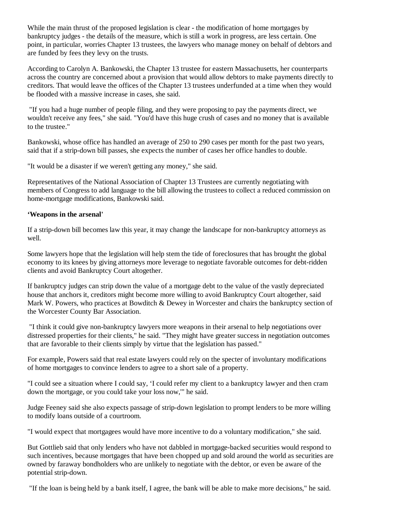While the main thrust of the proposed legislation is clear - the modification of home mortgages by bankruptcy judges - the details of the measure, which is still a work in progress, are less certain. One point, in particular, worries Chapter 13 trustees, the lawyers who manage money on behalf of debtors and are funded by fees they levy on the trusts.

According to Carolyn A. Bankowski, the Chapter 13 trustee for eastern Massachusetts, her counterparts across the country are concerned about a provision that would allow debtors to make payments directly to creditors. That would leave the offices of the Chapter 13 trustees underfunded at a time when they would be flooded with a massive increase in cases, she said.

 "If you had a huge number of people filing, and they were proposing to pay the payments direct, we wouldn't receive any fees," she said. "You'd have this huge crush of cases and no money that is available to the trustee."

Bankowski, whose office has handled an average of 250 to 290 cases per month for the past two years, said that if a strip-down bill passes, she expects the number of cases her office handles to double.

"It would be a disaster if we weren't getting any money," she said.

Representatives of the National Association of Chapter 13 Trustees are currently negotiating with members of Congress to add language to the bill allowing the trustees to collect a reduced commission on home-mortgage modifications, Bankowski said.

## **'Weapons in the arsenal'**

If a strip-down bill becomes law this year, it may change the landscape for non-bankruptcy attorneys as well.

Some lawyers hope that the legislation will help stem the tide of foreclosures that has brought the global economy to its knees by giving attorneys more leverage to negotiate favorable outcomes for debt-ridden clients and avoid Bankruptcy Court altogether.

If bankruptcy judges can strip down the value of a mortgage debt to the value of the vastly depreciated house that anchors it, creditors might become more willing to avoid Bankruptcy Court altogether, said Mark W. Powers, who practices at Bowditch & Dewey in Worcester and chairs the bankruptcy section of the Worcester County Bar Association.

 "I think it could give non-bankruptcy lawyers more weapons in their arsenal to help negotiations over distressed properties for their clients," he said. "They might have greater success in negotiation outcomes that are favorable to their clients simply by virtue that the legislation has passed."

For example, Powers said that real estate lawyers could rely on the specter of involuntary modifications of home mortgages to convince lenders to agree to a short sale of a property.

"I could see a situation where I could say, 'I could refer my client to a bankruptcy lawyer and then cram down the mortgage, or you could take your loss now,'" he said.

Judge Feeney said she also expects passage of strip-down legislation to prompt lenders to be more willing to modify loans outside of a courtroom.

"I would expect that mortgagees would have more incentive to do a voluntary modification," she said.

But Gottlieb said that only lenders who have not dabbled in mortgage-backed securities would respond to such incentives, because mortgages that have been chopped up and sold around the world as securities are owned by faraway bondholders who are unlikely to negotiate with the debtor, or even be aware of the potential strip-down.

"If the loan is being held by a bank itself, I agree, the bank will be able to make more decisions," he said.